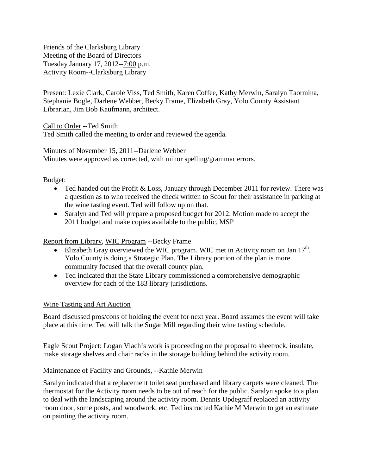Friends of the Clarksburg Library Meeting of the Board of Directors Tuesday January 17, 2012--7:00 p.m. Activity Room--Clarksburg Library

Present: Lexie Clark, Carole Viss, Ted Smith, Karen Coffee, Kathy Merwin, Saralyn Taormina, Stephanie Bogle, Darlene Webber, Becky Frame, Elizabeth Gray, Yolo County Assistant Librarian, Jim Bob Kaufmann, architect.

Call to Order --Ted Smith

Ted Smith called the meeting to order and reviewed the agenda*.*

Minutes of November 15, 2011--Darlene Webber Minutes were approved as corrected, with minor spelling/grammar errors.

Budget:

- Ted handed out the Profit & Loss, January through December 2011 for review. There was a question as to who received the check written to Scout for their assistance in parking at the wine tasting event. Ted will follow up on that.
- Saralyn and Ted will prepare a proposed budget for 2012. Motion made to accept the 2011 budget and make copies available to the public. MSP

## Report from Library, WIC Program --Becky Frame

- Elizabeth Gray overviewed the WIC program. WIC met in Activity room on Jan  $17<sup>th</sup>$ . Yolo County is doing a Strategic Plan. The Library portion of the plan is more community focused that the overall county plan.
- Ted indicated that the State Library commissioned a comprehensive demographic overview for each of the 183 library jurisdictions.

## Wine Tasting and Art Auction

Board discussed pros/cons of holding the event for next year. Board assumes the event will take place at this time. Ted will talk the Sugar Mill regarding their wine tasting schedule.

Eagle Scout Project: Logan Vlach's work is proceeding on the proposal to sheetrock, insulate, make storage shelves and chair racks in the storage building behind the activity room.

## Maintenance of Facility and Grounds, --Kathie Merwin

Saralyn indicated that a replacement toilet seat purchased and library carpets were cleaned. The thermostat for the Activity room needs to be out of reach for the public. Saralyn spoke to a plan to deal with the landscaping around the activity room. Dennis Updegraff replaced an activity room door, some posts, and woodwork, etc. Ted instructed Kathie M Merwin to get an estimate on painting the activity room.